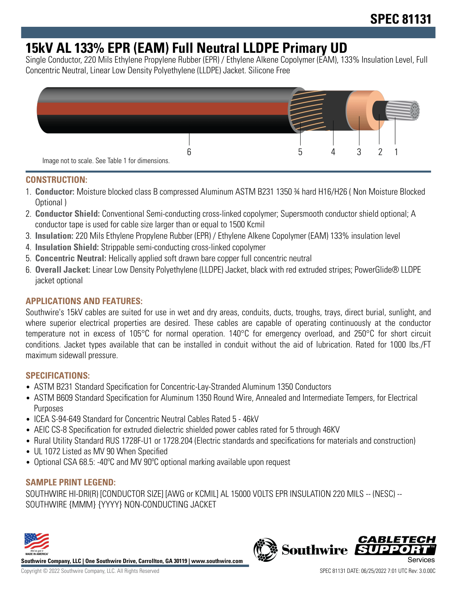# **15kV AL 133% EPR (EAM) Full Neutral LLDPE Primary UD**

Single Conductor, 220 Mils Ethylene Propylene Rubber (EPR) / Ethylene Alkene Copolymer (EAM), 133% Insulation Level, Full Concentric Neutral, Linear Low Density Polyethylene (LLDPE) Jacket. Silicone Free



### **CONSTRUCTION:**

- 1. **Conductor:** Moisture blocked class B compressed Aluminum ASTM B231 1350 ¾ hard H16/H26 ( Non Moisture Blocked Optional )
- 2. **Conductor Shield:** Conventional Semi-conducting cross-linked copolymer; Supersmooth conductor shield optional; A conductor tape is used for cable size larger than or equal to 1500 Kcmil
- 3. **Insulation:** 220 Mils Ethylene Propylene Rubber (EPR) / Ethylene Alkene Copolymer (EAM) 133% insulation level
- 4. **Insulation Shield:** Strippable semi-conducting cross-linked copolymer
- 5. **Concentric Neutral:** Helically applied soft drawn bare copper full concentric neutral
- 6. **Overall Jacket:** Linear Low Density Polyethylene (LLDPE) Jacket, black with red extruded stripes; PowerGlide® LLDPE jacket optional

### **APPLICATIONS AND FEATURES:**

Southwire's 15kV cables are suited for use in wet and dry areas, conduits, ducts, troughs, trays, direct burial, sunlight, and where superior electrical properties are desired. These cables are capable of operating continuously at the conductor temperature not in excess of 105°C for normal operation. 140°C for emergency overload, and 250°C for short circuit conditions. Jacket types available that can be installed in conduit without the aid of lubrication. Rated for 1000 lbs./FT maximum sidewall pressure.

#### **SPECIFICATIONS:**

- ASTM B231 Standard Specification for Concentric-Lay-Stranded Aluminum 1350 Conductors
- ASTM B609 Standard Specification for Aluminum 1350 Round Wire, Annealed and Intermediate Tempers, for Electrical Purposes
- ICEA S-94-649 Standard for Concentric Neutral Cables Rated 5 46kV
- AEIC CS-8 Specification for extruded dielectric shielded power cables rated for 5 through 46KV
- Rural Utility Standard RUS 1728F-U1 or 1728.204 (Electric standards and specifications for materials and construction)
- UL 1072 Listed as MV 90 When Specified
- Optional CSA 68.5: -40°C and MV 90°C optional marking available upon request

#### **SAMPLE PRINT LEGEND:**

SOUTHWIRE HI-DRI(R) [CONDUCTOR SIZE] [AWG or KCMIL] AL 15000 VOLTS EPR INSULATION 220 MILS -- (NESC) -- SOUTHWIRE {MMM} {YYYY} NON-CONDUCTING JACKET



**Southwire Company, LLC | One Southwire Drive, Carrollton, GA 30119 | www.southwire.com**

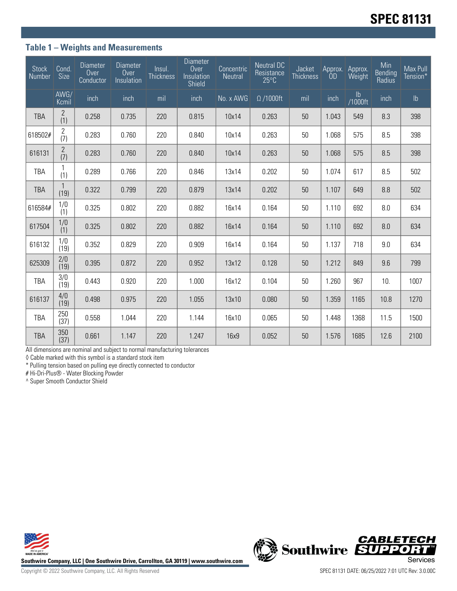### **Table 1 – Weights and Measurements**

| <b>Stock</b><br>Number | Cond.<br><b>Size</b>  | <b>Diameter</b><br>Over<br>Conductor | <b>Diameter</b><br>Over<br>Insulation | Insul.<br><b>Thickness</b> | <b>Diameter</b><br>Over<br>Insulation<br>Shield | Concentric<br>Neutral | <b>Neutral DC</b><br>Resistance<br>$25^{\circ}$ C | Jacket<br><b>Thickness</b> | Approx.<br>ÒD | Approx.<br>Weight | Min<br><b>Bending</b><br>Radius | Max Pull<br>Tension* |
|------------------------|-----------------------|--------------------------------------|---------------------------------------|----------------------------|-------------------------------------------------|-----------------------|---------------------------------------------------|----------------------------|---------------|-------------------|---------------------------------|----------------------|
|                        | AWG/<br>Kcmil         | inch                                 | inch                                  | mil                        | inch                                            | No. x AWG             | $\Omega$ /1000ft                                  | mil                        | inch          | lb<br>/1000ft     | inch                            | $\mathsf{lb}$        |
| <b>TBA</b>             | $\overline{2}$<br>(1) | 0.258                                | 0.735                                 | 220                        | 0.815                                           | 10x14                 | 0.263                                             | 50                         | 1.043         | 549               | 8.3                             | 398                  |
| 618502#                | $\overline{2}$<br>(7) | 0.283                                | 0.760                                 | 220                        | 0.840                                           | 10x14                 | 0.263                                             | 50                         | 1.068         | 575               | 8.5                             | 398                  |
| 616131                 | $\overline{2}$<br>(7) | 0.283                                | 0.760                                 | 220                        | 0.840                                           | 10x14                 | 0.263                                             | 50                         | 1.068         | 575               | 8.5                             | 398                  |
| <b>TBA</b>             | (1)                   | 0.289                                | 0.766                                 | 220                        | 0.846                                           | 13x14                 | 0.202                                             | 50                         | 1.074         | 617               | 8.5                             | 502                  |
| <b>TBA</b>             | (19)                  | 0.322                                | 0.799                                 | 220                        | 0.879                                           | 13x14                 | 0.202                                             | 50                         | 1.107         | 649               | 8.8                             | 502                  |
| 616584#                | 1/0<br>(1)            | 0.325                                | 0.802                                 | 220                        | 0.882                                           | 16x14                 | 0.164                                             | 50                         | 1.110         | 692               | 8.0                             | 634                  |
| 617504                 | 1/0<br>(1)            | 0.325                                | 0.802                                 | 220                        | 0.882                                           | 16x14                 | 0.164                                             | 50                         | 1.110         | 692               | 8.0                             | 634                  |
| 616132                 | 1/0<br>(19)           | 0.352                                | 0.829                                 | 220                        | 0.909                                           | 16x14                 | 0.164                                             | 50                         | 1.137         | 718               | 9.0                             | 634                  |
| 625309                 | 2/0<br>(19)           | 0.395                                | 0.872                                 | 220                        | 0.952                                           | 13x12                 | 0.128                                             | 50                         | 1.212         | 849               | 9.6                             | 799                  |
| TBA                    | 3/0<br>(19)           | 0.443                                | 0.920                                 | 220                        | 1.000                                           | 16x12                 | 0.104                                             | 50                         | 1.260         | 967               | 10.                             | 1007                 |
| 616137                 | 4/0<br>(19)           | 0.498                                | 0.975                                 | 220                        | 1.055                                           | 13x10                 | 0.080                                             | 50                         | 1.359         | 1165              | 10.8                            | 1270                 |
| <b>TBA</b>             | 250<br>(37)           | 0.558                                | 1.044                                 | 220                        | 1.144                                           | 16x10                 | 0.065                                             | 50                         | 1.448         | 1368              | 11.5                            | 1500                 |
| <b>TBA</b>             | 350<br>(37)           | 0.661                                | 1.147                                 | 220                        | 1.247                                           | 16x9                  | 0.052                                             | 50                         | 1.576         | 1685              | 12.6                            | 2100                 |

All dimensions are nominal and subject to normal manufacturing tolerances

◊ Cable marked with this symbol is a standard stock item

\* Pulling tension based on pulling eye directly connected to conductor

# Hi-Dri-Plus® - Water Blocking Powder

^ Super Smooth Conductor Shield



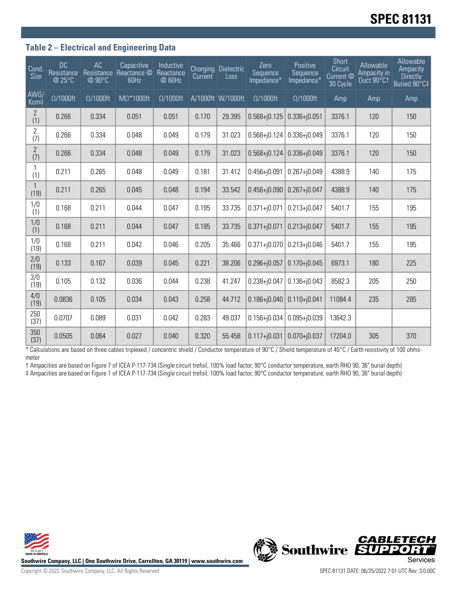# **SPEC 81131**

#### **Table 2 – Electrical and Engineering Data**

| Cond.<br>Size         | <b>DC</b><br>Resistance<br>@ 25°C | AC<br>Resistance<br>@ 90°C | Capacitive<br>Reactance @<br>60Hz | <b>Inductive</b><br>Reactance<br>@ 60Hz | <b>Current</b> | Charging Dielectric<br>Loss | Zero<br>Sequence<br>Impedance* | Positive<br>Sequence<br>Impedance* | <b>Short</b><br>Circuit<br>Current <sup>@</sup><br>30 Cycle | Allowable<br>Ampacity in<br>Duct 90°C1 | Allowable<br>Ampacity<br><b>Directly</b><br>Buried 90°C‡ |
|-----------------------|-----------------------------------|----------------------------|-----------------------------------|-----------------------------------------|----------------|-----------------------------|--------------------------------|------------------------------------|-------------------------------------------------------------|----------------------------------------|----------------------------------------------------------|
| AWG/<br>Kcmil         | $\Omega/1000$ ft                  | $\Omega/1000$ ft           | $M\Omega^*1000ft$                 | $\Omega/1000$ ft                        |                | A/1000ft W/1000ft           | $\Omega/1000$ ft               | $\Omega/1000$ ft                   | Amp                                                         | Amp                                    | Amp                                                      |
| $\overline{2}$<br>(1) | 0.266                             | 0.334                      | 0.051                             | 0.051                                   | 0.170          | 29.395                      | $0.568 + j0.125$               | $0.336 + j0.051$                   | 3376.1                                                      | 120                                    | 150                                                      |
| $\overline{c}$<br>(7) | 0.266                             | 0.334                      | 0.048                             | 0.049                                   | 0.179          | 31.023                      | $0.568 + j0.124$               | $0.336 + j0.049$                   | 3376.1                                                      | 120                                    | 150                                                      |
| $\overline{2}$<br>(7) | 0.266                             | 0.334                      | 0.048                             | 0.049                                   | 0.179          | 31.023                      | $0.568 + j0.124$               | $0.336 + j0.049$                   | 3376.1                                                      | 120                                    | 150                                                      |
| (1)                   | 0.211                             | 0.265                      | 0.048                             | 0.049                                   | 0.181          | 31.412                      | $0.456 + j0.091$               | $0.267 + j0.049$                   | 4388.9                                                      | 140                                    | 175                                                      |
| $\mathbf{1}$<br>(19)  | 0.211                             | 0.265                      | 0.045                             | 0.048                                   | 0.194          | 33.542                      | $0.456 + 0.090$                | $0.267 + j0.047$                   | 4388.9                                                      | 140                                    | 175                                                      |
| 1/0<br>(1)            | 0.168                             | 0.211                      | 0.044                             | 0.047                                   | 0.195          | 33.735                      | $0.371 + j0.071$               | $0.213 + j0.047$                   | 5401.7                                                      | 155                                    | 195                                                      |
| 1/0<br>(1)            | 0.168                             | 0.211                      | 0.044                             | 0.047                                   | 0.195          | 33.735                      | $0.371 + j0.071$               | $0.213 + j0.047$                   | 5401.7                                                      | 155                                    | 195                                                      |
| 1/0<br>(19)           | 0.168                             | 0.211                      | 0.042                             | 0.046                                   | 0.205          | 35.466                      | $0.371 + j0.070$               | $0.213 + 0.046$                    | 5401.7                                                      | 155                                    | 195                                                      |
| 2/0<br>(19)           | 0.133                             | 0.167                      | 0.039                             | 0.045                                   | 0.221          | 38.206                      | $0.296 + j0.057$               | $0.170 + j0.045$                   | 6973.1                                                      | 180                                    | 225                                                      |
| 3/0<br>(19)           | 0.105                             | 0.132                      | 0.036                             | 0.044                                   | 0.238          | 41.247                      | $0.238 + j0.047$               | $0.136 + j0.043$                   | 8582.3                                                      | 205                                    | 250                                                      |
| 4/0<br>(19)           | 0.0836                            | 0.105                      | 0.034                             | 0.043                                   | 0.258          | 44.712                      | $0.186 + j0.040$               | $0.110 + j0.041$                   | 11084.4                                                     | 235                                    | 285                                                      |
| 250<br>(37)           | 0.0707                            | 0.089                      | 0.031                             | 0.042                                   | 0.283          | 49.037                      | $0.156 + j0.034$               | $0.095 + j0.039$                   | 13642.3                                                     |                                        |                                                          |
| 350<br>(37)           | 0.0505                            | 0.064                      | 0.027                             | 0.040                                   | 0.320          | 55.458                      | $0.117 + j0.031$               | $0.070 + j0.037$                   | 17204.0                                                     | 305                                    | 370                                                      |

\* Calculations are based on three cables triplexed / concentric shield / Conductor temperature of 90°C / Shield temperature of 45°C / Earth resistivity of 100 ohmsmeter

† Ampacities are based on Figure 7 of ICEA P-117-734 (Single circuit trefoil, 100% load factor, 90°C conductor temperature, earth RHO 90, 36" burial depth) ‡ Ampacities are based on Figure 1 of ICEA P-117-734 (Single circuit trefoil, 100% load factor, 90°C conductor temperature, earth RHO 90, 36" burial depth)



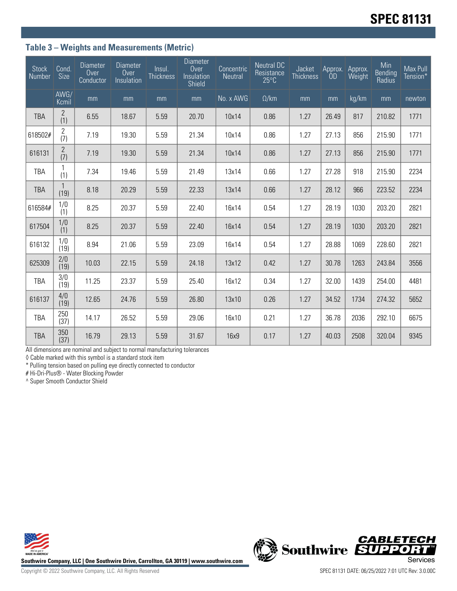## **Table 3 – Weights and Measurements (Metric)**

| <b>Stock</b><br>Number | Cond.<br><b>Size</b>  | <b>Diameter</b><br>Over<br>Conductor | <b>Diameter</b><br>Over<br>Insulation | Insul.<br><b>Thickness</b> | Diameter<br>Over<br>Insulation<br>Shield | Concentric<br>Neutral | <b>Neutral DC</b><br>Resistance<br>$25^{\circ}$ C | Jacket<br><b>Thickness</b> | Approx.<br><b>OD</b> | Approx.<br>Weight | Min<br>Bending<br>Radius | Max Pull<br>Tension* |
|------------------------|-----------------------|--------------------------------------|---------------------------------------|----------------------------|------------------------------------------|-----------------------|---------------------------------------------------|----------------------------|----------------------|-------------------|--------------------------|----------------------|
|                        | AWG/<br>Kcmil         | mm                                   | mm                                    | mm                         | mm                                       | No. x AWG             | $\Omega$ /km                                      | mm                         | mm                   | kg/km             | mm                       | newton               |
| <b>TBA</b>             | $\overline{2}$<br>(1) | 6.55                                 | 18.67                                 | 5.59                       | 20.70                                    | 10x14                 | 0.86                                              | 1.27                       | 26.49                | 817               | 210.82                   | 1771                 |
| 618502#                | 2<br>(7)              | 7.19                                 | 19.30                                 | 5.59                       | 21.34                                    | 10x14                 | 0.86                                              | 1.27                       | 27.13                | 856               | 215.90                   | 1771                 |
| 616131                 | $\overline{2}$<br>(7) | 7.19                                 | 19.30                                 | 5.59                       | 21.34                                    | 10x14                 | 0.86                                              | 1.27                       | 27.13                | 856               | 215.90                   | 1771                 |
| <b>TBA</b>             | (1)                   | 7.34                                 | 19.46                                 | 5.59                       | 21.49                                    | 13x14                 | 0.66                                              | 1.27                       | 27.28                | 918               | 215.90                   | 2234                 |
| <b>TBA</b>             | $\mathbf{1}$<br>(19)  | 8.18                                 | 20.29                                 | 5.59                       | 22.33                                    | 13x14                 | 0.66                                              | 1.27                       | 28.12                | 966               | 223.52                   | 2234                 |
| 616584#                | 1/0<br>(1)            | 8.25                                 | 20.37                                 | 5.59                       | 22.40                                    | 16x14                 | 0.54                                              | 1.27                       | 28.19                | 1030              | 203.20                   | 2821                 |
| 617504                 | 1/0<br>(1)            | 8.25                                 | 20.37                                 | 5.59                       | 22.40                                    | 16x14                 | 0.54                                              | 1.27                       | 28.19                | 1030              | 203.20                   | 2821                 |
| 616132                 | 1/0<br>(19)           | 8.94                                 | 21.06                                 | 5.59                       | 23.09                                    | 16x14                 | 0.54                                              | 1.27                       | 28.88                | 1069              | 228.60                   | 2821                 |
| 625309                 | 2/0<br>(19)           | 10.03                                | 22.15                                 | 5.59                       | 24.18                                    | 13x12                 | 0.42                                              | 1.27                       | 30.78                | 1263              | 243.84                   | 3556                 |
| TBA                    | 3/0<br>(19)           | 11.25                                | 23.37                                 | 5.59                       | 25.40                                    | 16x12                 | 0.34                                              | 1.27                       | 32.00                | 1439              | 254.00                   | 4481                 |
| 616137                 | 4/0<br>(19)           | 12.65                                | 24.76                                 | 5.59                       | 26.80                                    | 13x10                 | 0.26                                              | 1.27                       | 34.52                | 1734              | 274.32                   | 5652                 |
| TBA                    | 250<br>(37)           | 14.17                                | 26.52                                 | 5.59                       | 29.06                                    | 16x10                 | 0.21                                              | 1.27                       | 36.78                | 2036              | 292.10                   | 6675                 |
| <b>TBA</b>             | 350<br>(37)           | 16.79                                | 29.13                                 | 5.59                       | 31.67                                    | 16x9                  | 0.17                                              | 1.27                       | 40.03                | 2508              | 320.04                   | 9345                 |

All dimensions are nominal and subject to normal manufacturing tolerances

◊ Cable marked with this symbol is a standard stock item

\* Pulling tension based on pulling eye directly connected to conductor

# Hi-Dri-Plus® - Water Blocking Powder

^ Super Smooth Conductor Shield